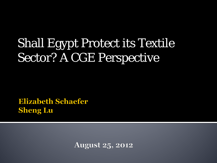# Shall Egypt Protect its Textile Sector? A CGE Perspective pt Protect its 16<br>CGE Perspective<br>acter

**Sheng Lu** 

**August 25, 2012**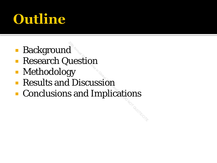# Outline

- **Background**
- **Research Question**
- **Methodology**
- **Results and Discussion**
- **Conclusions and Implications**  $\begin{array}{l} \mathbf{y} \ \mathbf{y} \end{array}$  and Implications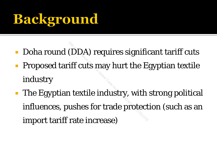## Background

- Doha round (DDA) requires significant tariff cuts
- Proposed tariff cuts may hurt the Egyptian textile industry
- **The Egyptian textile industry, with strong political** influences, pushes for trade protection (such as an import tariff rate increase) 2000) requires signifies<br>2011 iff cuts may hurt the E<br>2012 - Annual Market<br>11 ushes for trade protect<br>12 increase)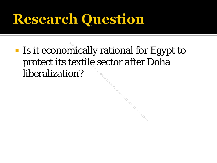#### **Research Question**

**Is it economically rational for Egypt to** protect its textile sector after Doha liberalization? 20 mically rational for<br>2012 textile sector after l<br>2013 and Do Not Quote<br>2014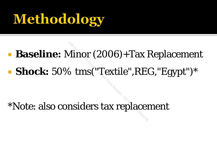# **Methodology**

# **Baseline:** Minor (2006)+Tax Replacement **Shock:** 50% tms("Textile",REG,"Egypt")\* 2006)+Tax<br>3 tms("Textile",RE)<br>nsiders tax replace

\*Note: also considers tax replacement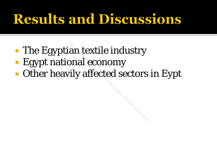## **Results and Discussions**

- **The Egyptian textile industry**
- Egypt national economy
- **Other heavily affected sectors in Eypt**

**Hysis DONOT QUOTE/CITE**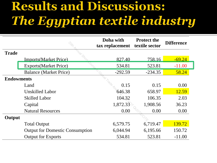#### Results and Discussions: The Egyptian textile industry

|                   |                                        | Doha with<br>tax replacement | <b>Protect the</b><br>textile sector | <b>Difference</b> |
|-------------------|----------------------------------------|------------------------------|--------------------------------------|-------------------|
| <b>Trade</b>      |                                        |                              |                                      |                   |
|                   | <b>Imports</b> (Market Price)          | 827.40                       | 758.16                               | $-69.24$          |
|                   | <b>Exports</b> (Market Price)          | 534.81                       | 523.81                               | $-11.00$          |
|                   | <b>Balance (Market Price)</b>          | $-292.59$                    | $-234.35$                            | 58.24             |
| <b>Endowments</b> |                                        |                              |                                      |                   |
|                   | Land                                   | 0.15                         | 0.15                                 | 0.00              |
|                   | <b>Unskilled Labor</b>                 | 646.38                       | 658.97                               | 12.59             |
|                   | <b>Skilled Labor</b>                   | 104.32                       | 106.35                               | 2.03              |
|                   | Capital                                | 1,872.33                     | 1,908.56                             | 36.23             |
|                   | <b>Natural Resources</b>               | 0.00                         | 0.00                                 | 0.00              |
| Output            |                                        |                              |                                      |                   |
|                   | <b>Total Output</b>                    | 6,579.75                     | 6,719.47                             | 139.72            |
|                   | <b>Output for Domestic Consumption</b> | 6,044.94                     | 6,195.66                             | 150.72            |
|                   | <b>Output for Exports</b>              | 534.81                       | 523.81                               | $-11.00$          |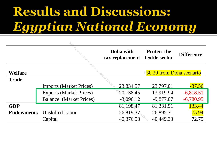### **Results and Discussions: Egyptian National Economy**

|                   |                                | Doha with<br>tax replacement | <b>Protect the</b><br>textile sector | <b>Difference</b> |
|-------------------|--------------------------------|------------------------------|--------------------------------------|-------------------|
| <b>Welfare</b>    |                                |                              | +30.20 from Doha scenario            |                   |
| <b>Trade</b>      |                                |                              |                                      |                   |
|                   | <b>Imports (Market Prices)</b> | 23,834.57                    | 23,797.01                            | $-37.56$          |
|                   | <b>Exports (Market Prices)</b> | 20,738.45                    | 13,919.94                            | $-6,818.51$       |
|                   | <b>Balance</b> (Market Prices) | $-3,096.12$                  | $-9,877.07$                          | $-6,780.95$       |
| <b>GDP</b>        |                                | 81,198.47                    | 81,331.91                            | 133.44            |
| <b>Endowments</b> | <b>Unskilled Labor</b>         | 26,819.37                    | 26,895.31                            | 75.94             |
|                   | Capital                        | 40,376.58                    | 40,449.33                            | 72.75             |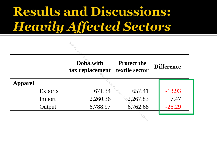#### Results and Discussions: **Heavily Affected Sectors**

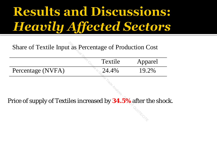### **Results and Discussions: Heavily Affected Sectors**

| Share of Textile Input as Percentage of Production Cost              |         |         |
|----------------------------------------------------------------------|---------|---------|
|                                                                      | Textile | Apparel |
| Percentage (NVFA)                                                    | 24.4%   | 19.2%   |
| Price of supply of Textiles increased by <b>34.5%</b> after the shoc |         |         |

Price of supply of Textiles increased by **34.5%** after the shock.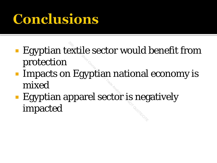## Conclusions

- **Egyptian textile sector would benefit from** protection
- **Impacts on Egyptian national economy is** mixed
- **Egyptian apparel sector is negatively** impacted 2011 - Extile sector would<br>2011 - Egyptian national<br>2012 - Practice is neg